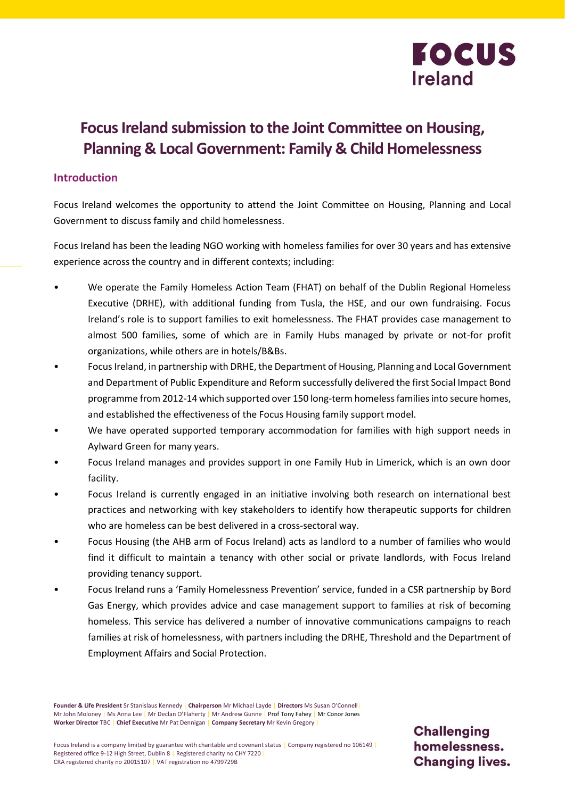

# **Focus Ireland submission to the Joint Committee on Housing, Planning & Local Government: Family & Child Homelessness**

## **Introduction**

Focus Ireland welcomes the opportunity to attend the Joint Committee on Housing, Planning and Local Government to discuss family and child homelessness.

Focus Ireland has been the leading NGO working with homeless families for over 30 years and has extensive experience across the country and in different contexts; including:

- We operate the Family Homeless Action Team (FHAT) on behalf of the Dublin Regional Homeless Executive (DRHE), with additional funding from Tusla, the HSE, and our own fundraising. Focus Ireland's role is to support families to exit homelessness. The FHAT provides case management to almost 500 families, some of which are in Family Hubs managed by private or not-for profit organizations, while others are in hotels/B&Bs.
- Focus Ireland, in partnership with DRHE, the Department of Housing, Planning and Local Government and Department of Public Expenditure and Reform successfully delivered the first Social Impact Bond programme from 2012-14 which supported over 150 long-term homeless families into secure homes, and established the effectiveness of the Focus Housing family support model.
- We have operated supported temporary accommodation for families with high support needs in Aylward Green for many years.
- Focus Ireland manages and provides support in one Family Hub in Limerick, which is an own door facility.
- Focus Ireland is currently engaged in an initiative involving both research on international best practices and networking with key stakeholders to identify how therapeutic supports for children who are homeless can be best delivered in a cross-sectoral way.
- Focus Housing (the AHB arm of Focus Ireland) acts as landlord to a number of families who would find it difficult to maintain a tenancy with other social or private landlords, with Focus Ireland providing tenancy support.
- Focus Ireland runs a 'Family Homelessness Prevention' service, funded in a CSR partnership by Bord Gas Energy, which provides advice and case management support to families at risk of becoming homeless. This service has delivered a number of innovative communications campaigns to reach families at risk of homelessness, with partners including the DRHE, Threshold and the Department of Employment Affairs and Social Protection.

**Founder & Life President** Sr Stanislaus Kennedy | **Chairperson** Mr Michael Layde | **Directors** Ms Susan O'Connell| Mr John Moloney | Ms Anna Lee | Mr Declan O'Flaherty | Mr Andrew Gunne | Prof Tony Fahey | Mr Conor Jones **Worker Director** TBC | **Chief Executive** Mr Pat Dennigan | **Company Secretary** Mr Kevin Gregory |

**Challenging** homelessness. **Changing lives.**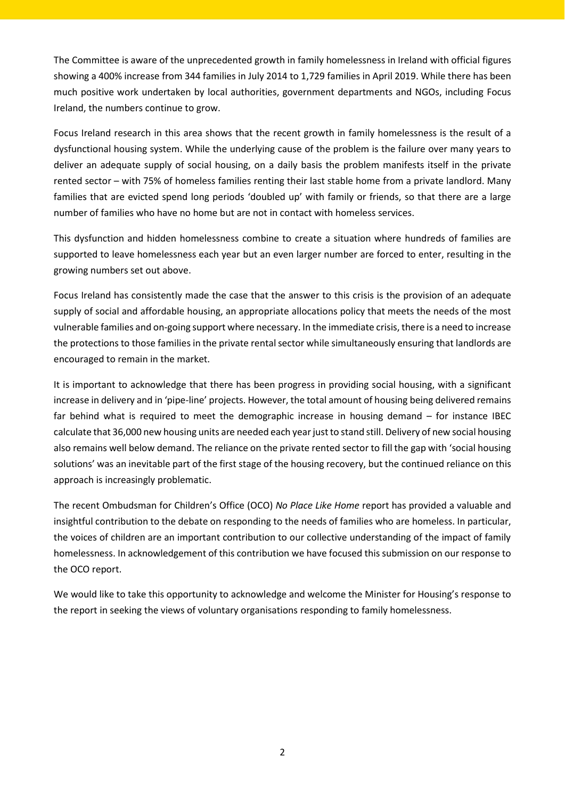The Committee is aware of the unprecedented growth in family homelessness in Ireland with official figures showing a 400% increase from 344 families in July 2014 to 1,729 families in April 2019. While there has been much positive work undertaken by local authorities, government departments and NGOs, including Focus Ireland, the numbers continue to grow.

Focus Ireland research in this area shows that the recent growth in family homelessness is the result of a dysfunctional housing system. While the underlying cause of the problem is the failure over many years to deliver an adequate supply of social housing, on a daily basis the problem manifests itself in the private rented sector – with 75% of homeless families renting their last stable home from a private landlord. Many families that are evicted spend long periods 'doubled up' with family or friends, so that there are a large number of families who have no home but are not in contact with homeless services.

This dysfunction and hidden homelessness combine to create a situation where hundreds of families are supported to leave homelessness each year but an even larger number are forced to enter, resulting in the growing numbers set out above.

Focus Ireland has consistently made the case that the answer to this crisis is the provision of an adequate supply of social and affordable housing, an appropriate allocations policy that meets the needs of the most vulnerable families and on-going support where necessary. In the immediate crisis, there is a need to increase the protections to those families in the private rental sector while simultaneously ensuring that landlords are encouraged to remain in the market.

It is important to acknowledge that there has been progress in providing social housing, with a significant increase in delivery and in 'pipe-line' projects. However, the total amount of housing being delivered remains far behind what is required to meet the demographic increase in housing demand – for instance IBEC calculate that 36,000 new housing units are needed each year just to stand still. Delivery of new social housing also remains well below demand. The reliance on the private rented sector to fill the gap with 'social housing solutions' was an inevitable part of the first stage of the housing recovery, but the continued reliance on this approach is increasingly problematic.

The recent Ombudsman for Children's Office (OCO) *No Place Like Home* report has provided a valuable and insightful contribution to the debate on responding to the needs of families who are homeless. In particular, the voices of children are an important contribution to our collective understanding of the impact of family homelessness. In acknowledgement of this contribution we have focused this submission on our response to the OCO report.

We would like to take this opportunity to acknowledge and welcome the Minister for Housing's response to the report in seeking the views of voluntary organisations responding to family homelessness.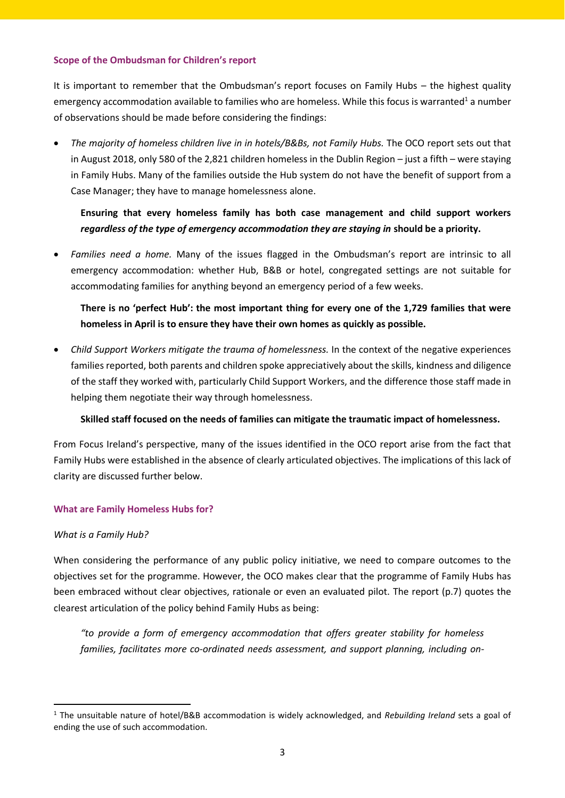#### **Scope of the Ombudsman for Children's report**

It is important to remember that the Ombudsman's report focuses on Family Hubs – the highest quality emergency accommodation available to families who are homeless. While this focus is warranted<sup>1</sup> a number of observations should be made before considering the findings:

 *The majority of homeless children live in in hotels/B&Bs, not Family Hubs.* The OCO report sets out that in August 2018, only 580 of the 2,821 children homeless in the Dublin Region – just a fifth – were staying in Family Hubs. Many of the families outside the Hub system do not have the benefit of support from a Case Manager; they have to manage homelessness alone.

# **Ensuring that every homeless family has both case management and child support workers**  *regardless of the type of emergency accommodation they are staying in* **should be a priority.**

 *Families need a home.* Many of the issues flagged in the Ombudsman's report are intrinsic to all emergency accommodation: whether Hub, B&B or hotel, congregated settings are not suitable for accommodating families for anything beyond an emergency period of a few weeks.

# **There is no 'perfect Hub': the most important thing for every one of the 1,729 families that were homeless in April is to ensure they have their own homes as quickly as possible.**

 *Child Support Workers mitigate the trauma of homelessness.* In the context of the negative experiences families reported, both parents and children spoke appreciatively about the skills, kindness and diligence of the staff they worked with, particularly Child Support Workers, and the difference those staff made in helping them negotiate their way through homelessness.

### **Skilled staff focused on the needs of families can mitigate the traumatic impact of homelessness.**

From Focus Ireland's perspective, many of the issues identified in the OCO report arise from the fact that Family Hubs were established in the absence of clearly articulated objectives. The implications of this lack of clarity are discussed further below.

### **What are Family Homeless Hubs for?**

### *What is a Family Hub?*

 $\overline{a}$ 

When considering the performance of any public policy initiative, we need to compare outcomes to the objectives set for the programme. However, the OCO makes clear that the programme of Family Hubs has been embraced without clear objectives, rationale or even an evaluated pilot. The report (p.7) quotes the clearest articulation of the policy behind Family Hubs as being:

*"to provide a form of emergency accommodation that offers greater stability for homeless families, facilitates more co-ordinated needs assessment, and support planning, including on-*

<sup>1</sup> The unsuitable nature of hotel/B&B accommodation is widely acknowledged, and *Rebuilding Ireland* sets a goal of ending the use of such accommodation.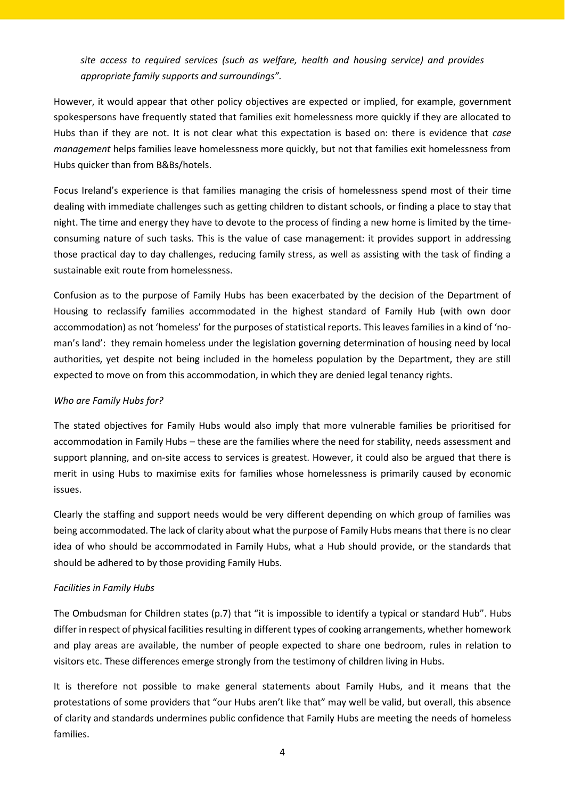*site access to required services (such as welfare, health and housing service) and provides appropriate family supports and surroundings".* 

However, it would appear that other policy objectives are expected or implied, for example, government spokespersons have frequently stated that families exit homelessness more quickly if they are allocated to Hubs than if they are not. It is not clear what this expectation is based on: there is evidence that *case management* helps families leave homelessness more quickly, but not that families exit homelessness from Hubs quicker than from B&Bs/hotels.

Focus Ireland's experience is that families managing the crisis of homelessness spend most of their time dealing with immediate challenges such as getting children to distant schools, or finding a place to stay that night. The time and energy they have to devote to the process of finding a new home is limited by the timeconsuming nature of such tasks. This is the value of case management: it provides support in addressing those practical day to day challenges, reducing family stress, as well as assisting with the task of finding a sustainable exit route from homelessness.

Confusion as to the purpose of Family Hubs has been exacerbated by the decision of the Department of Housing to reclassify families accommodated in the highest standard of Family Hub (with own door accommodation) as not 'homeless' for the purposes of statistical reports. This leaves families in a kind of 'noman's land': they remain homeless under the legislation governing determination of housing need by local authorities, yet despite not being included in the homeless population by the Department, they are still expected to move on from this accommodation, in which they are denied legal tenancy rights.

### *Who are Family Hubs for?*

The stated objectives for Family Hubs would also imply that more vulnerable families be prioritised for accommodation in Family Hubs – these are the families where the need for stability, needs assessment and support planning, and on-site access to services is greatest. However, it could also be argued that there is merit in using Hubs to maximise exits for families whose homelessness is primarily caused by economic issues.

Clearly the staffing and support needs would be very different depending on which group of families was being accommodated. The lack of clarity about what the purpose of Family Hubs means that there is no clear idea of who should be accommodated in Family Hubs, what a Hub should provide, or the standards that should be adhered to by those providing Family Hubs.

### *Facilities in Family Hubs*

The Ombudsman for Children states (p.7) that "it is impossible to identify a typical or standard Hub". Hubs differ in respect of physical facilities resulting in different types of cooking arrangements, whether homework and play areas are available, the number of people expected to share one bedroom, rules in relation to visitors etc. These differences emerge strongly from the testimony of children living in Hubs.

It is therefore not possible to make general statements about Family Hubs, and it means that the protestations of some providers that "our Hubs aren't like that" may well be valid, but overall, this absence of clarity and standards undermines public confidence that Family Hubs are meeting the needs of homeless families.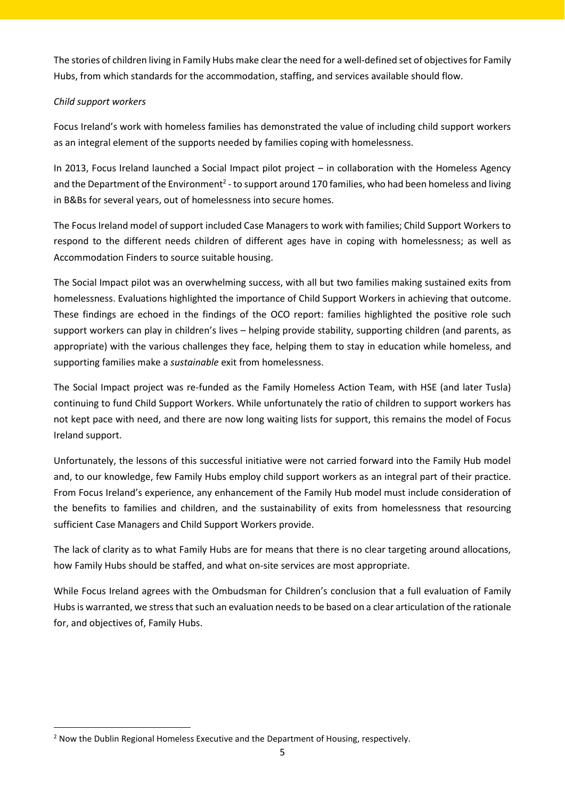The stories of children living in Family Hubs make clear the need for a well-defined set of objectives for Family Hubs, from which standards for the accommodation, staffing, and services available should flow.

## *Child support workers*

**.** 

Focus Ireland's work with homeless families has demonstrated the value of including child support workers as an integral element of the supports needed by families coping with homelessness.

In 2013, Focus Ireland launched a Social Impact pilot project – in collaboration with the Homeless Agency and the Department of the Environment<sup>2</sup> - to support around 170 families, who had been homeless and living in B&Bs for several years, out of homelessness into secure homes.

The Focus Ireland model of support included Case Managers to work with families; Child Support Workers to respond to the different needs children of different ages have in coping with homelessness; as well as Accommodation Finders to source suitable housing.

The Social Impact pilot was an overwhelming success, with all but two families making sustained exits from homelessness. Evaluations highlighted the importance of Child Support Workers in achieving that outcome. These findings are echoed in the findings of the OCO report: families highlighted the positive role such support workers can play in children's lives – helping provide stability, supporting children (and parents, as appropriate) with the various challenges they face, helping them to stay in education while homeless, and supporting families make a *sustainable* exit from homelessness.

The Social Impact project was re-funded as the Family Homeless Action Team, with HSE (and later Tusla) continuing to fund Child Support Workers. While unfortunately the ratio of children to support workers has not kept pace with need, and there are now long waiting lists for support, this remains the model of Focus Ireland support.

Unfortunately, the lessons of this successful initiative were not carried forward into the Family Hub model and, to our knowledge, few Family Hubs employ child support workers as an integral part of their practice. From Focus Ireland's experience, any enhancement of the Family Hub model must include consideration of the benefits to families and children, and the sustainability of exits from homelessness that resourcing sufficient Case Managers and Child Support Workers provide.

The lack of clarity as to what Family Hubs are for means that there is no clear targeting around allocations, how Family Hubs should be staffed, and what on-site services are most appropriate.

While Focus Ireland agrees with the Ombudsman for Children's conclusion that a full evaluation of Family Hubs is warranted, we stress that such an evaluation needs to be based on a clear articulation of the rationale for, and objectives of, Family Hubs.

<sup>&</sup>lt;sup>2</sup> Now the Dublin Regional Homeless Executive and the Department of Housing, respectively.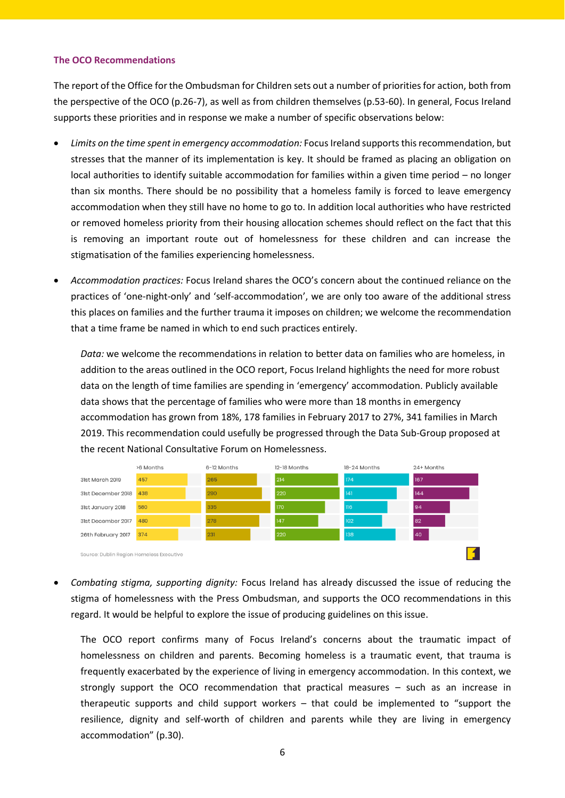#### **The OCO Recommendations**

The report of the Office for the Ombudsman for Children sets out a number of priorities for action, both from the perspective of the OCO (p.26-7), as well as from children themselves (p.53-60). In general, Focus Ireland supports these priorities and in response we make a number of specific observations below:

- *Limits on the time spent in emergency accommodation:* Focus Ireland supports this recommendation, but stresses that the manner of its implementation is key. It should be framed as placing an obligation on local authorities to identify suitable accommodation for families within a given time period – no longer than six months. There should be no possibility that a homeless family is forced to leave emergency accommodation when they still have no home to go to. In addition local authorities who have restricted or removed homeless priority from their housing allocation schemes should reflect on the fact that this is removing an important route out of homelessness for these children and can increase the stigmatisation of the families experiencing homelessness.
- *Accommodation practices:* Focus Ireland shares the OCO's concern about the continued reliance on the practices of 'one-night-only' and 'self-accommodation', we are only too aware of the additional stress this places on families and the further trauma it imposes on children; we welcome the recommendation that a time frame be named in which to end such practices entirely.

*Data:* we welcome the recommendations in relation to better data on families who are homeless, in addition to the areas outlined in the OCO report, Focus Ireland highlights the need for more robust data on the length of time families are spending in 'emergency' accommodation. Publicly available data shows that the percentage of families who were more than 18 months in emergency accommodation has grown from 18%, 178 families in February 2017 to 27%, 341 families in March 2019. This recommendation could usefully be progressed through the Data Sub-Group proposed at the recent National Consultative Forum on Homelessness.



 *Combating stigma, supporting dignity:* Focus Ireland has already discussed the issue of reducing the stigma of homelessness with the Press Ombudsman, and supports the OCO recommendations in this regard. It would be helpful to explore the issue of producing guidelines on this issue.

The OCO report confirms many of Focus Ireland's concerns about the traumatic impact of homelessness on children and parents. Becoming homeless is a traumatic event, that trauma is frequently exacerbated by the experience of living in emergency accommodation. In this context, we strongly support the OCO recommendation that practical measures – such as an increase in therapeutic supports and child support workers – that could be implemented to "support the resilience, dignity and self-worth of children and parents while they are living in emergency accommodation" (p.30).